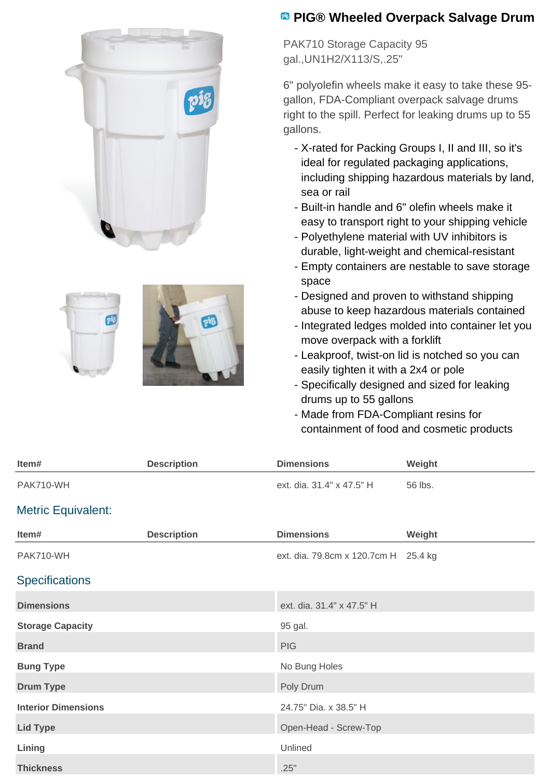





## **B** PIG® Wheeled Overpack Salvage Drum

PAK710 Storage Capacity 95 gal.,UN1H2/X113/S,.25"

6" polyolefin wheels make it easy to take these 95 gallon, FDA-Compliant overpack salvage drums right to the spill. Perfect for leaking drums up to 55 gallons.

- X-rated for Packing Groups I, II and III, so it's ideal for regulated packaging applications, including shipping hazardous materials by land, sea or rail
- Built-in handle and 6" olefin wheels make it easy to transport right to your shipping vehicle
- Polyethylene material with UV inhibitors is durable, light-weight and chemical-resistant
- Empty containers are nestable to save storage space
- Designed and proven to withstand shipping abuse to keep hazardous materials contained
- Integrated ledges molded into container let you move overpack with a forklift
- Leakproof, twist-on lid is notched so you can easily tighten it with a 2x4 or pole
- Specifically designed and sized for leaking drums up to 55 gallons
- Made from FDA-Compliant resins for containment of food and cosmetic products

| Item#                      | <b>Description</b> | <b>Dimensions</b>                    | Weight  |
|----------------------------|--------------------|--------------------------------------|---------|
| PAK710-WH                  |                    | ext. dia. 31.4" x 47.5" H            | 56 lbs. |
| <b>Metric Equivalent:</b>  |                    |                                      |         |
| Item#                      | <b>Description</b> | <b>Dimensions</b>                    | Weight  |
| PAK710-WH                  |                    | ext. dia. 79.8cm x 120.7cm H 25.4 kg |         |
| <b>Specifications</b>      |                    |                                      |         |
| <b>Dimensions</b>          |                    | ext. dia. 31.4" x 47.5" H            |         |
| <b>Storage Capacity</b>    |                    | 95 gal.                              |         |
| <b>Brand</b>               |                    | <b>PIG</b>                           |         |
| <b>Bung Type</b>           |                    | No Bung Holes                        |         |
| <b>Drum Type</b>           |                    | Poly Drum                            |         |
| <b>Interior Dimensions</b> |                    | 24.75" Dia. x 38.5" H                |         |
| <b>Lid Type</b>            |                    | Open-Head - Screw-Top                |         |
| Lining                     |                    | Unlined                              |         |
| <b>Thickness</b>           |                    | .25"                                 |         |